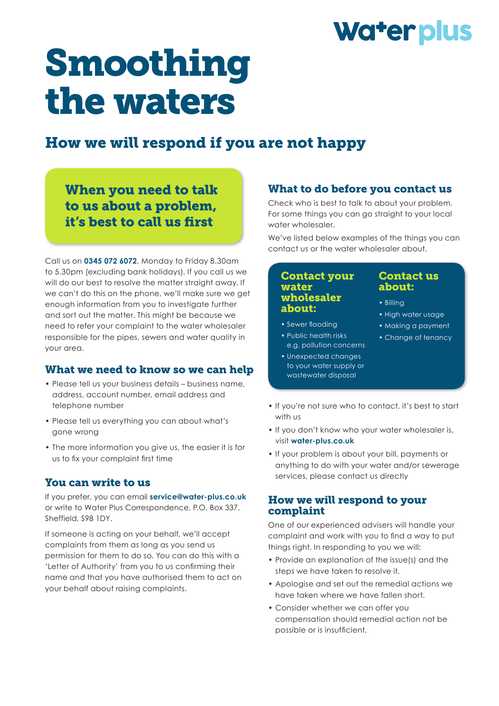## Water plus

# Smoothing the waters

### How we will respond if you are not happy

When you need to talk to us about a problem, it's best to call us first

Call us on **0345 072 6072**, Monday to Friday 8.30am to 5.30pm (excluding bank holidays). If you call us we will do our best to resolve the matter straight away. If we can't do this on the phone, we'll make sure we get enough information from you to investigate further and sort out the matter. This might be because we need to refer your complaint to the water wholesaler responsible for the pipes, sewers and water quality in your area.

#### What we need to know so we can help

- Please tell us your business details business name, address, account number, email address and telephone number
- Please tell us everything you can about what's gone wrong
- The more information you give us, the easier it is for us to fix your complaint first time

#### You can write to us

If you prefer, you can email **service@water-plus.co.uk** or write to Water Plus Correspondence, P.O. Box 337, Sheffield, S98 1DY.

If someone is acting on your behalf, we'll accept complaints from them as long as you send us permission for them to do so. You can do this with a 'Letter of Authority' from you to us confirming their name and that you have authorised them to act on your behalf about raising complaints.

#### What to do before you contact us

Check who is best to talk to about your problem. For some things you can go straight to your local water wholesaler.

We've listed below examples of the things you can contact us or the water wholesaler about.

#### Contact your water wholesaler about:

- Sewer flooding
- Public health risks e.g. pollution concerns
- Unexpected changes to your water supply or wastewater disposal

#### Contact us about:

- Billing
- High water usage
- Making a payment
- Change of tenancy
- If you're not sure who to contact, it's best to start with us
- If you don't know who your water wholesaler is, visit **water-plus.co.uk**
- If your problem is about your bill, payments or anything to do with your water and/or sewerage services, please contact us directly

#### How we will respond to your complaint

One of our experienced advisers will handle your complaint and work with you to find a way to put things right. In responding to you we will:

- Provide an explanation of the issue(s) and the steps we have taken to resolve it.
- Apologise and set out the remedial actions we have taken where we have fallen short.
- Consider whether we can offer you compensation should remedial action not be possible or is insufficient.